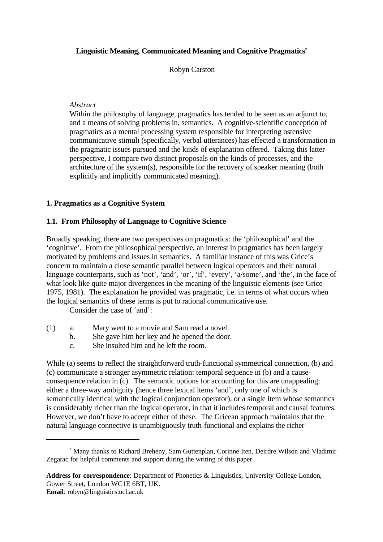# **Linguistic Meaning, Communicated Meaning and Cognitive Pragmatics\***

Robyn Carston

## *Abstract*

Within the philosophy of language, pragmatics has tended to be seen as an adjunct to, and a means of solving problems in, semantics. A cognitive-scientific conception of pragmatics as a mental processing system responsible for interpreting ostensive communicative stimuli (specifically, verbal utterances) has effected a transformation in the pragmatic issues pursued and the kinds of explanation offered. Taking this latter perspective, I compare two distinct proposals on the kinds of processes, and the architecture of the system(s), responsible for the recovery of speaker meaning (both explicitly and implicitly communicated meaning).

## **1. Pragmatics as a Cognitive System**

# **1.1. From Philosophy of Language to Cognitive Science**

Broadly speaking, there are two perspectives on pragmatics: the 'philosophical' and the 'cognitive'. From the philosophical perspective, an interest in pragmatics has been largely motivated by problems and issues in semantics. A familiar instance of this was Grice's concern to maintain a close semantic parallel between logical operators and their natural language counterparts, such as 'not', 'and', 'or', 'if', 'every', 'a/some', and 'the', in the face of what look like quite major divergences in the meaning of the linguistic elements (see Grice 1975, 1981). The explanation he provided was pragmatic, i.e. in terms of what occurs when the logical semantics of these terms is put to rational communicative use.

Consider the case of 'and':

- (1) a. Mary went to a movie and Sam read a novel.
	- b. She gave him her key and he opened the door.
	- c. She insulted him and he left the room.

While (a) seems to reflect the straightforward truth-functional symmetrical connection, (b) and (c) communicate a stronger asymmetric relation: temporal sequence in (b) and a causeconsequence relation in (c). The semantic options for accounting for this are unappealing: either a three-way ambiguity (hence three lexical items 'and', only one of which is semantically identical with the logical conjunction operator), or a single item whose semantics is considerably richer than the logical operator, in that it includes temporal and causal features. However, we don't have to accept either of these. The Gricean approach maintains that the natural language connective is unambiguously truth-functional and explains the richer

<sup>\*</sup> Many thanks to Richard Breheny, Sam Guttenplan, Corinne Iten, Deirdre Wilson and Vladimir Zegarac for helpful comments and support during the writing of this paper.

**Address for correspondence**: Department of Phonetics & Linguistics, University College London, Gower Street, London WC1E 6BT, UK. **Email**: robyn@linguistics.ucl.ac.uk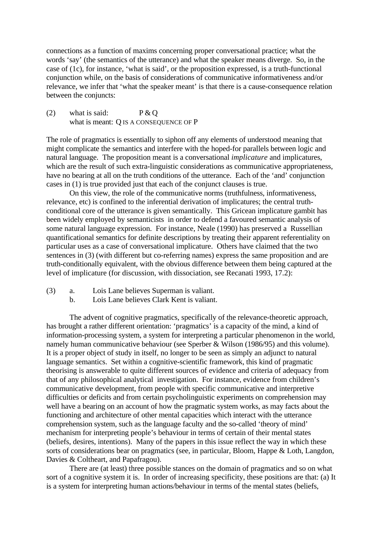connections as a function of maxims concerning proper conversational practice; what the words 'say' (the semantics of the utterance) and what the speaker means diverge. So, in the case of (1c), for instance, 'what is said', or the proposition expressed, is a truth-functional conjunction while, on the basis of considerations of communicative informativeness and/or relevance, we infer that 'what the speaker meant' is that there is a cause-consequence relation between the conjuncts:

(2) what is said:  $P & Q$ what is meant: Q IS A CONSEQUENCE OF P

The role of pragmatics is essentially to siphon off any elements of understood meaning that might complicate the semantics and interfere with the hoped-for parallels between logic and natural language. The proposition meant is a conversational *implicature* and implicatures, which are the result of such extra-linguistic considerations as communicative appropriateness, have no bearing at all on the truth conditions of the utterance. Each of the 'and' conjunction cases in (1) is true provided just that each of the conjunct clauses is true.

On this view, the role of the communicative norms (truthfulness, informativeness, relevance, etc) is confined to the inferential derivation of implicatures; the central truthconditional core of the utterance is given semantically. This Gricean implicature gambit has been widely employed by semanticists in order to defend a favoured semantic analysis of some natural language expression. For instance, Neale (1990) has preserved a Russellian quantificational semantics for definite descriptions by treating their apparent referentiality on particular uses as a case of conversational implicature. Others have claimed that the two sentences in (3) (with different but co-referring names) express the same proposition and are truth-conditionally equivalent, with the obvious difference between them being captured at the level of implicature (for discussion, with dissociation, see Recanati 1993, 17.2):

- (3) a. Lois Lane believes Superman is valiant.
	- b. Lois Lane believes Clark Kent is valiant.

The advent of cognitive pragmatics, specifically of the relevance-theoretic approach, has brought a rather different orientation: 'pragmatics' is a capacity of the mind, a kind of information-processing system, a system for interpreting a particular phenomenon in the world, namely human communicative behaviour (see Sperber & Wilson (1986/95) and this volume). It is a proper object of study in itself, no longer to be seen as simply an adjunct to natural language semantics. Set within a cognitive-scientific framework, this kind of pragmatic theorising is answerable to quite different sources of evidence and criteria of adequacy from that of any philosophical analytical investigation. For instance, evidence from children's communicative development, from people with specific communicative and interpretive difficulties or deficits and from certain psycholinguistic experiments on comprehension may well have a bearing on an account of how the pragmatic system works, as may facts about the functioning and architecture of other mental capacities which interact with the utterance comprehension system, such as the language faculty and the so-called 'theory of mind' mechanism for interpreting people's behaviour in terms of certain of their mental states (beliefs, desires, intentions). Many of the papers in this issue reflect the way in which these sorts of considerations bear on pragmatics (see, in particular, Bloom, Happe & Loth, Langdon, Davies & Coltheart, and Papafragou).

There are (at least) three possible stances on the domain of pragmatics and so on what sort of a cognitive system it is. In order of increasing specificity, these positions are that: (a) It is a system for interpreting human actions/behaviour in terms of the mental states (beliefs,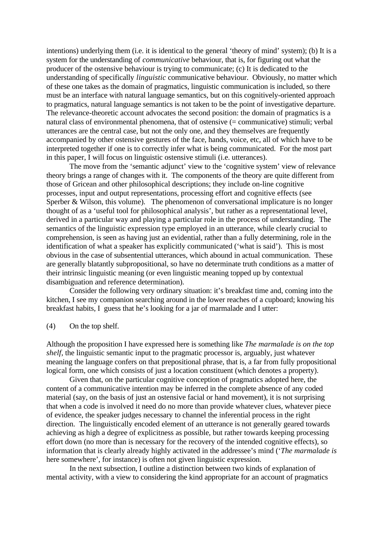intentions) underlying them (i.e. it is identical to the general 'theory of mind' system); (b) It is a system for the understanding of *communicative* behaviour, that is, for figuring out what the producer of the ostensive behaviour is trying to communicate; (c) It is dedicated to the understanding of specifically *linguistic* communicative behaviour. Obviously, no matter which of these one takes as the domain of pragmatics, linguistic communication is included, so there must be an interface with natural language semantics, but on this cognitively-oriented approach to pragmatics, natural language semantics is not taken to be the point of investigative departure. The relevance-theoretic account advocates the second position: the domain of pragmatics is a natural class of environmental phenomena, that of ostensive (= communicative) stimuli; verbal utterances are the central case, but not the only one, and they themselves are frequently accompanied by other ostensive gestures of the face, hands, voice, etc, all of which have to be interpreted together if one is to correctly infer what is being communicated. For the most part in this paper, I will focus on linguistic ostensive stimuli (i.e. utterances).

The move from the 'semantic adjunct' view to the 'cognitive system' view of relevance theory brings a range of changes with it. The components of the theory are quite different from those of Gricean and other philosophical descriptions; they include on-line cognitive processes, input and output representations, processing effort and cognitive effects (see Sperber & Wilson, this volume). The phenomenon of conversational implicature is no longer thought of as a 'useful tool for philosophical analysis', but rather as a representational level, derived in a particular way and playing a particular role in the process of understanding. The semantics of the linguistic expression type employed in an utterance, while clearly crucial to comprehension, is seen as having just an evidential, rather than a fully determining, role in the identification of what a speaker has explicitly communicated ('what is said'). This is most obvious in the case of subsentential utterances, which abound in actual communication. These are generally blatantly subpropositional, so have no determinate truth conditions as a matter of their intrinsic linguistic meaning (or even linguistic meaning topped up by contextual disambiguation and reference determination).

Consider the following very ordinary situation: it's breakfast time and, coming into the kitchen, I see my companion searching around in the lower reaches of a cupboard; knowing his breakfast habits, I guess that he's looking for a jar of marmalade and I utter:

#### (4) On the top shelf.

Although the proposition I have expressed here is something like *The marmalade is on the top shelf*, the linguistic semantic input to the pragmatic processor is, arguably, just whatever meaning the language confers on that prepositional phrase, that is, a far from fully propositional logical form, one which consists of just a location constituent (which denotes a property).

Given that, on the particular cognitive conception of pragmatics adopted here, the content of a communicative intention may be inferred in the complete absence of any coded material (say, on the basis of just an ostensive facial or hand movement), it is not surprising that when a code is involved it need do no more than provide whatever clues, whatever piece of evidence, the speaker judges necessary to channel the inferential process in the right direction. The linguistically encoded element of an utterance is not generally geared towards achieving as high a degree of explicitness as possible, but rather towards keeping processing effort down (no more than is necessary for the recovery of the intended cognitive effects), so information that is clearly already highly activated in the addressee's mind ('*The marmalade is* here somewhere', for instance) is often not given linguistic expression.

In the next subsection, I outline a distinction between two kinds of explanation of mental activity, with a view to considering the kind appropriate for an account of pragmatics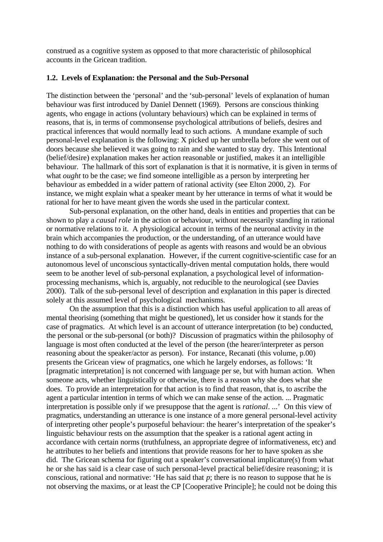construed as a cognitive system as opposed to that more characteristic of philosophical accounts in the Gricean tradition.

#### **1.2. Levels of Explanation: the Personal and the Sub-Personal**

The distinction between the 'personal' and the 'sub-personal' levels of explanation of human behaviour was first introduced by Daniel Dennett (1969). Persons are conscious thinking agents, who engage in actions (voluntary behaviours) which can be explained in terms of reasons, that is, in terms of commonsense psychological attributions of beliefs, desires and practical inferences that would normally lead to such actions. A mundane example of such personal-level explanation is the following: X picked up her umbrella before she went out of doors because she believed it was going to rain and she wanted to stay dry. This Intentional (belief/desire) explanation makes her action reasonable or justified, makes it an intelligible behaviour. The hallmark of this sort of explanation is that it is normative, it is given in terms of what *ought* to be the case; we find someone intelligible as a person by interpreting her behaviour as embedded in a wider pattern of rational activity (see Elton 2000, 2). For instance, we might explain what a speaker meant by her utterance in terms of what it would be rational for her to have meant given the words she used in the particular context.

Sub-personal explanation, on the other hand, deals in entities and properties that can be shown to play a *causal role* in the action or behaviour, without necessarily standing in rational or normative relations to it. A physiological account in terms of the neuronal activity in the brain which accompanies the production, or the understanding, of an utterance would have nothing to do with considerations of people as agents with reasons and would be an obvious instance of a sub-personal explanation. However, if the current cognitive-scientific case for an autonomous level of unconscious syntactically-driven mental computation holds, there would seem to be another level of sub-personal explanation, a psychological level of informationprocessing mechanisms, which is, arguably, not reducible to the neurological (see Davies 2000). Talk of the sub-personal level of description and explanation in this paper is directed solely at this assumed level of psychological mechanisms.

On the assumption that this is a distinction which has useful application to all areas of mental theorising (something that might be questioned), let us consider how it stands for the case of pragmatics. At which level is an account of utterance interpretation (to be) conducted, the personal or the sub-personal (or both)? Discussion of pragmatics within the philosophy of language is most often conducted at the level of the person (the hearer/interpreter as person reasoning about the speaker/actor as person). For instance, Recanati (this volume, p.00) presents the Gricean view of pragmatics, one which he largely endorses, as follows: 'It [pragmatic interpretation] is not concerned with language per se, but with human action. When someone acts, whether linguistically or otherwise, there is a reason why she does what she does. To provide an interpretation for that action is to find that reason, that is, to ascribe the agent a particular intention in terms of which we can make sense of the action. ... Pragmatic interpretation is possible only if we presuppose that the agent is *rational*. ...' On this view of pragmatics, understanding an utterance is one instance of a more general personal-level activity of interpreting other people's purposeful behaviour: the hearer's interpretation of the speaker's linguistic behaviour rests on the assumption that the speaker is a rational agent acting in accordance with certain norms (truthfulness, an appropriate degree of informativeness, etc) and he attributes to her beliefs and intentions that provide reasons for her to have spoken as she did. The Gricean schema for figuring out a speaker's conversational implicature(s) from what he or she has said is a clear case of such personal-level practical belief/desire reasoning; it is conscious, rational and normative: 'He has said that *p*; there is no reason to suppose that he is not observing the maxims, or at least the CP [Cooperative Principle]; he could not be doing this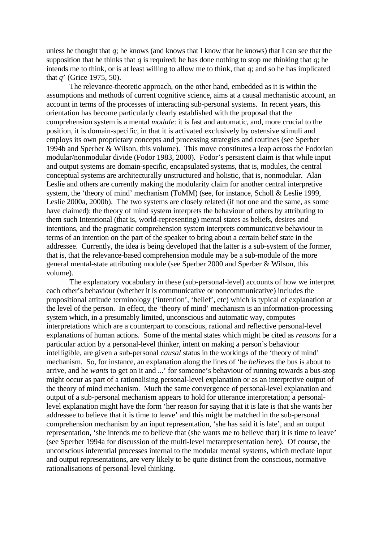unless he thought that  $q$ ; he knows (and knows that I know that he knows) that I can see that the supposition that he thinks that  $q$  is required; he has done nothing to stop me thinking that  $q$ ; he intends me to think, or is at least willing to allow me to think, that *q*; and so he has implicated that *q*' (Grice 1975, 50).

The relevance-theoretic approach, on the other hand, embedded as it is within the assumptions and methods of current cognitive science, aims at a causal mechanistic account, an account in terms of the processes of interacting sub-personal systems. In recent years, this orientation has become particularly clearly established with the proposal that the comprehension system is a mental *module*: it is fast and automatic, and, more crucial to the position, it is domain-specific, in that it is activated exclusively by ostensive stimuli and employs its own proprietary concepts and processing strategies and routines (see Sperber 1994b and Sperber & Wilson, this volume). This move constitutes a leap across the Fodorian modular/nonmodular divide (Fodor 1983, 2000). Fodor's persistent claim is that while input and output systems are domain-specific, encapsulated systems, that is, modules, the central conceptual systems are architecturally unstructured and holistic, that is, nonmodular. Alan Leslie and others are currently making the modularity claim for another central interpretive system, the 'theory of mind' mechanism (ToMM) (see, for instance, Scholl & Leslie 1999, Leslie 2000a, 2000b). The two systems are closely related (if not one and the same, as some have claimed): the theory of mind system interprets the behaviour of others by attributing to them such Intentional (that is, world-representing) mental states as beliefs, desires and intentions, and the pragmatic comprehension system interprets communicative behaviour in terms of an intention on the part of the speaker to bring about a certain belief state in the addressee. Currently, the idea is being developed that the latter is a sub-system of the former, that is, that the relevance-based comprehension module may be a sub-module of the more general mental-state attributing module (see Sperber 2000 and Sperber & Wilson, this volume).

The explanatory vocabulary in these (sub-personal-level) accounts of how we interpret each other's behaviour (whether it is communicative or noncommunicative) includes the propositional attitude terminology ('intention', 'belief', etc) which is typical of explanation at the level of the person. In effect, the 'theory of mind' mechanism is an information-processing system which, in a presumably limited, unconscious and automatic way, computes interpretations which are a counterpart to conscious, rational and reflective personal-level explanations of human actions. Some of the mental states which might be cited as *reasons* for a particular action by a personal-level thinker, intent on making a person's behaviour intelligible, are given a sub-personal *causal* status in the workings of the 'theory of mind' mechanism. So, for instance, an explanation along the lines of 'he *believes* the bus is about to arrive, and he *wants* to get on it and ...' for someone's behaviour of running towards a bus-stop might occur as part of a rationalising personal-level explanation or as an interpretive output of the theory of mind mechanism. Much the same convergence of personal-level explanation and output of a sub-personal mechanism appears to hold for utterance interpretation; a personallevel explanation might have the form 'her reason for saying that it is late is that she wants her addressee to believe that it is time to leave' and this might be matched in the sub-personal comprehension mechanism by an input representation, 'she has said it is late', and an output representation, 'she intends me to believe that (she wants me to believe that) it is time to leave' (see Sperber 1994a for discussion of the multi-level metarepresentation here). Of course, the unconscious inferential processes internal to the modular mental systems, which mediate input and output representations, are very likely to be quite distinct from the conscious, normative rationalisations of personal-level thinking.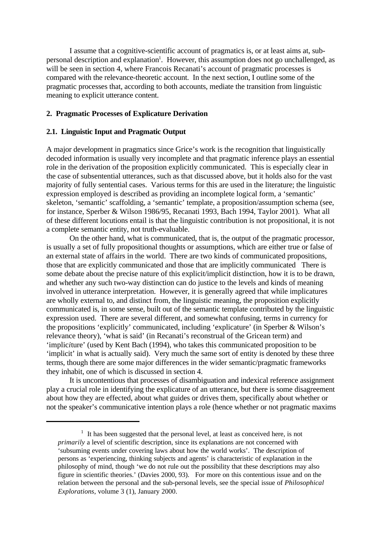I assume that a cognitive-scientific account of pragmatics is, or at least aims at, subpersonal description and explanation<sup>1</sup>. However, this assumption does not go unchallenged, as will be seen in section 4, where Francois Recanati's account of pragmatic processes is compared with the relevance-theoretic account. In the next section, I outline some of the pragmatic processes that, according to both accounts, mediate the transition from linguistic meaning to explicit utterance content.

### **2. Pragmatic Processes of Explicature Derivation**

#### **2.1. Linguistic Input and Pragmatic Output**

A major development in pragmatics since Grice's work is the recognition that linguistically decoded information is usually very incomplete and that pragmatic inference plays an essential role in the derivation of the proposition explicitly communicated. This is especially clear in the case of subsentential utterances, such as that discussed above, but it holds also for the vast majority of fully sentential cases. Various terms for this are used in the literature; the linguistic expression employed is described as providing an incomplete logical form, a 'semantic' skeleton, 'semantic' scaffolding, a 'semantic' template, a proposition/assumption schema (see, for instance, Sperber & Wilson 1986/95, Recanati 1993, Bach 1994, Taylor 2001). What all of these different locutions entail is that the linguistic contribution is not propositional, it is not a complete semantic entity, not truth-evaluable.

On the other hand, what is communicated, that is, the output of the pragmatic processor, is usually a set of fully propositional thoughts or assumptions, which are either true or false of an external state of affairs in the world. There are two kinds of communicated propositions, those that are explicitly communicated and those that are implicitly communicated There is some debate about the precise nature of this explicit/implicit distinction, how it is to be drawn, and whether any such two-way distinction can do justice to the levels and kinds of meaning involved in utterance interpretation. However, it is generally agreed that while implicatures are wholly external to, and distinct from, the linguistic meaning, the proposition explicitly communicated is, in some sense, built out of the semantic template contributed by the linguistic expression used. There are several different, and somewhat confusing, terms in currency for the propositions 'explicitly' communicated, including 'explicature' (in Sperber & Wilson's relevance theory), 'what is said' (in Recanati's reconstrual of the Gricean term) and 'implic*i*ture' (used by Kent Bach (1994), who takes this communicated proposition to be 'implicit' in what is actually said). Very much the same sort of entity is denoted by these three terms, though there are some major differences in the wider semantic/pragmatic frameworks they inhabit, one of which is discussed in section 4.

It is uncontentious that processes of disambiguation and indexical reference assignment play a crucial role in identifying the explicature of an utterance, but there is some disagreement about how they are effected, about what guides or drives them, specifically about whether or not the speaker's communicative intention plays a role (hence whether or not pragmatic maxims

<sup>&</sup>lt;sup>1</sup> It has been suggested that the personal level, at least as conceived here, is not *primarily* a level of scientific description, since its explanations are not concerned with 'subsuming events under covering laws about how the world works'. The description of persons as 'experiencing, thinking subjects and agents' is characteristic of explanation in the philosophy of mind, though 'we do not rule out the possibility that these descriptions may also figure in scientific theories.' (Davies 2000, 93). For more on this contentious issue and on the relation between the personal and the sub-personal levels, see the special issue of *Philosophical Explorations*, volume 3 (1), January 2000.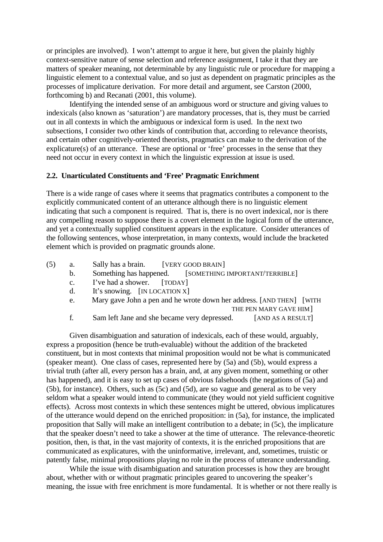or principles are involved). I won't attempt to argue it here, but given the plainly highly context-sensitive nature of sense selection and reference assignment, I take it that they are matters of speaker meaning, not determinable by any linguistic rule or procedure for mapping a linguistic element to a contextual value, and so just as dependent on pragmatic principles as the processes of implicature derivation. For more detail and argument, see Carston (2000, forthcoming b) and Recanati (2001, this volume).

Identifying the intended sense of an ambiguous word or structure and giving values to indexicals (also known as 'saturation') are mandatory processes, that is, they must be carried out in all contexts in which the ambiguous or indexical form is used. In the next two subsections, I consider two other kinds of contribution that, according to relevance theorists, and certain other cognitively-oriented theorists, pragmatics can make to the derivation of the explicature(s) of an utterance. These are optional or 'free' processes in the sense that they need not occur in every context in which the linguistic expression at issue is used.

### **2.2. Unarticulated Constituents and 'Free' Pragmatic Enrichment**

There is a wide range of cases where it seems that pragmatics contributes a component to the explicitly communicated content of an utterance although there is no linguistic element indicating that such a component is required. That is, there is no overt indexical, nor is there any compelling reason to suppose there is a covert element in the logical form of the utterance, and yet a contextually supplied constituent appears in the explicature. Consider utterances of the following sentences, whose interpretation, in many contexts, would include the bracketed element which is provided on pragmatic grounds alone.

- (5) a. Sally has a brain. [VERY GOOD BRAIN]
	- b. Something has happened. [SOMETHING IMPORTANT/TERRIBLE]
	- c. I've had a shower. [TODAY]
	- d. It's snowing. [IN LOCATION X]
	- e. Mary gave John a pen and he wrote down her address. [AND THEN] [WITH

THE PEN MARY GAVE HIM]

f. Sam left Jane and she became very depressed. [AND AS A RESULT]

Given disambiguation and saturation of indexicals, each of these would, arguably, express a proposition (hence be truth-evaluable) without the addition of the bracketed constituent, but in most contexts that minimal proposition would not be what is communicated (speaker meant). One class of cases, represented here by (5a) and (5b), would express a trivial truth (after all, every person has a brain, and, at any given moment, something or other has happened), and it is easy to set up cases of obvious falsehoods (the negations of (5a) and (5b), for instance). Others, such as (5c) and (5d), are so vague and general as to be very seldom what a speaker would intend to communicate (they would not yield sufficient cognitive effects). Across most contexts in which these sentences might be uttered, obvious implicatures of the utterance would depend on the enriched proposition: in (5a), for instance, the implicated proposition that Sally will make an intelligent contribution to a debate; in (5c), the implicature that the speaker doesn't need to take a shower at the time of utterance. The relevance-theoretic position, then, is that, in the vast majority of contexts, it is the enriched propositions that are communicated as explicatures, with the uninformative, irrelevant, and, sometimes, truistic or patently false, minimal propositions playing no role in the process of utterance understanding.

While the issue with disambiguation and saturation processes is how they are brought about, whether with or without pragmatic principles geared to uncovering the speaker's meaning, the issue with free enrichment is more fundamental. It is whether or not there really is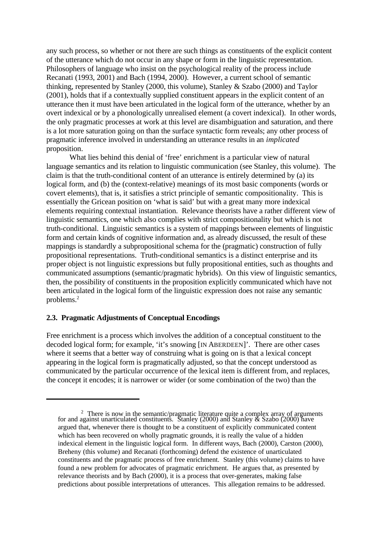any such process, so whether or not there are such things as constituents of the explicit content of the utterance which do not occur in any shape or form in the linguistic representation. Philosophers of language who insist on the psychological reality of the process include Recanati (1993, 2001) and Bach (1994, 2000). However, a current school of semantic thinking, represented by Stanley (2000, this volume), Stanley & Szabo (2000) and Taylor (2001), holds that if a contextually supplied constituent appears in the explicit content of an utterance then it must have been articulated in the logical form of the utterance, whether by an overt indexical or by a phonologically unrealised element (a covert indexical). In other words, the only pragmatic processes at work at this level are disambiguation and saturation, and there is a lot more saturation going on than the surface syntactic form reveals; any other process of pragmatic inference involved in understanding an utterance results in an *implicated* proposition.

What lies behind this denial of 'free' enrichment is a particular view of natural language semantics and its relation to linguistic communication (see Stanley, this volume). The claim is that the truth-conditional content of an utterance is entirely determined by (a) its logical form, and (b) the (context-relative) meanings of its most basic components (words or covert elements), that is, it satisfies a strict principle of semantic compositionality. This is essentially the Gricean position on 'what is said' but with a great many more indexical elements requiring contextual instantiation. Relevance theorists have a rather different view of linguistic semantics, one which also complies with strict compositionality but which is not truth-conditional. Linguistic semantics is a system of mappings between elements of linguistic form and certain kinds of cognitive information and, as already discussed, the result of these mappings is standardly a subpropositional schema for the (pragmatic) construction of fully propositional representations. Truth-conditional semantics is a distinct enterprise and its proper object is not linguistic expressions but fully propositional entities, such as thoughts and communicated assumptions (semantic/pragmatic hybrids). On this view of linguistic semantics, then, the possibility of constituents in the proposition explicitly communicated which have not been articulated in the logical form of the linguistic expression does not raise any semantic problems.<sup>2</sup>

## **2.3. Pragmatic Adjustments of Conceptual Encodings**

Free enrichment is a process which involves the addition of a conceptual constituent to the decoded logical form; for example, 'it's snowing [IN ABERDEEN]'. There are other cases where it seems that a better way of construing what is going on is that a lexical concept appearing in the logical form is pragmatically adjusted, so that the concept understood as communicated by the particular occurrence of the lexical item is different from, and replaces, the concept it encodes; it is narrower or wider (or some combination of the two) than the

<sup>&</sup>lt;sup>2</sup> There is now in the semantic/pragmatic literature quite a complex array of arguments for and against unarticulated constituents. Stanley (2000) and Stanley & Szabo (2000) have argued that, whenever there is thought to be a constituent of explicitly communicated content which has been recovered on wholly pragmatic grounds, it is really the value of a hidden indexical element in the linguistic logical form. In different ways, Bach (2000), Carston (2000), Breheny (this volume) and Recanati (forthcoming) defend the existence of unarticulated constituents and the pragmatic process of free enrichment. Stanley (this volume) claims to have found a new problem for advocates of pragmatic enrichment. He argues that, as presented by relevance theorists and by Bach (2000), it is a process that over-generates, making false predictions about possible interpretations of utterances. This allegation remains to be addressed.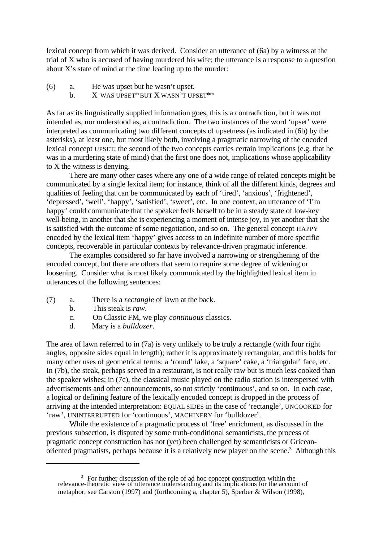lexical concept from which it was derived. Consider an utterance of (6a) by a witness at the trial of X who is accused of having murdered his wife; the utterance is a response to a question about X's state of mind at the time leading up to the murder:

- (6) a. He was upset but he wasn't upset.
	- b. X WAS UPSET\* BUT X WASN'T UPSET\*\*

As far as its linguistically supplied information goes, this is a contradiction, but it was not intended as, nor understood as, a contradiction. The two instances of the word 'upset' were interpreted as communicating two different concepts of upsetness (as indicated in (6b) by the asterisks), at least one, but most likely both, involving a pragmatic narrowing of the encoded lexical concept UPSET; the second of the two concepts carries certain implications (e.g. that he was in a murdering state of mind) that the first one does not, implications whose applicability to X the witness is denying.

There are many other cases where any one of a wide range of related concepts might be communicated by a single lexical item; for instance, think of all the different kinds, degrees and qualities of feeling that can be communicated by each of 'tired', 'anxious', 'frightened', 'depressed', 'well', 'happy', 'satisfied', 'sweet', etc. In one context, an utterance of 'I'm happy' could communicate that the speaker feels herself to be in a steady state of low-key well-being, in another that she is experiencing a moment of intense joy, in yet another that she is satisfied with the outcome of some negotiation, and so on. The general concept HAPPY encoded by the lexical item 'happy' gives access to an indefinite number of more specific concepts, recoverable in particular contexts by relevance-driven pragmatic inference.

The examples considered so far have involved a narrowing or strengthening of the encoded concept, but there are others that seem to require some degree of widening or loosening. Consider what is most likely communicated by the highlighted lexical item in utterances of the following sentences:

- (7) a. There is a *rectangle* of lawn at the back.
	- b. This steak is *raw*.
	- c. On Classic FM, we play *continuous* classics.
	- d. Mary is a *bulldozer*.

The area of lawn referred to in (7a) is very unlikely to be truly a rectangle (with four right angles, opposite sides equal in length); rather it is approximately rectangular, and this holds for many other uses of geometrical terms: a 'round' lake, a 'square' cake, a 'triangular' face, etc. In (7b), the steak, perhaps served in a restaurant, is not really raw but is much less cooked than the speaker wishes; in (7c), the classical music played on the radio station is interspersed with advertisements and other announcements, so not strictly 'continuous', and so on. In each case, a logical or defining feature of the lexically encoded concept is dropped in the process of arriving at the intended interpretation: EQUAL SIDES in the case of 'rectangle', UNCOOKED for 'raw', UNINTERRUPTED for 'continuous', MACHINERY for 'bulldozer'.

While the existence of a pragmatic process of 'free' enrichment, as discussed in the previous subsection, is disputed by some truth-conditional semanticists, the process of pragmatic concept construction has not (yet) been challenged by semanticists or Griceanoriented pragmatists, perhaps because it is a relatively new player on the scene.<sup>3</sup> Although this

<sup>&</sup>lt;sup>3</sup> For further discussion of the role of ad hoc concept construction within the relevance-theoretic view of utterance understanding and its implications for the account of metaphor, see Carston (1997) and (forthcoming a, chapter 5), Sperber & Wilson (1998),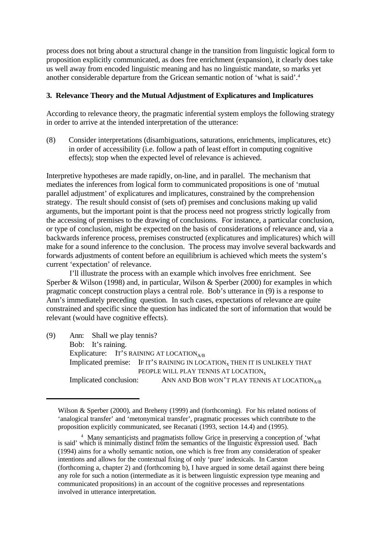process does not bring about a structural change in the transition from linguistic logical form to proposition explicitly communicated, as does free enrichment (expansion), it clearly does take us well away from encoded linguistic meaning and has no linguistic mandate, so marks yet another considerable departure from the Gricean semantic notion of 'what is said'.<sup>4</sup>

# **3. Relevance Theory and the Mutual Adjustment of Explicatures and Implicatures**

According to relevance theory, the pragmatic inferential system employs the following strategy in order to arrive at the intended interpretation of the utterance:

(8) Consider interpretations (disambiguations, saturations, enrichments, implicatures, etc) in order of accessibility (i.e. follow a path of least effort in computing cognitive effects); stop when the expected level of relevance is achieved.

Interpretive hypotheses are made rapidly, on-line, and in parallel. The mechanism that mediates the inferences from logical form to communicated propositions is one of 'mutual parallel adjustment' of explicatures and implicatures, constrained by the comprehension strategy. The result should consist of (sets of) premises and conclusions making up valid arguments, but the important point is that the process need not progress strictly logically from the accessing of premises to the drawing of conclusions. For instance, a particular conclusion, or type of conclusion, might be expected on the basis of considerations of relevance and, via a backwards inference process, premises constructed (explicatures and implicatures) which will make for a sound inference to the conclusion. The process may involve several backwards and forwards adjustments of content before an equilibrium is achieved which meets the system's current 'expectation' of relevance.

I'll illustrate the process with an example which involves free enrichment. See Sperber & Wilson (1998) and, in particular, Wilson & Sperber (2000) for examples in which pragmatic concept construction plays a central role. Bob's utterance in (9) is a response to Ann's immediately preceding question. In such cases, expectations of relevance are quite constrained and specific since the question has indicated the sort of information that would be relevant (would have cognitive effects).

(9) Ann: Shall we play tennis? Bob: It's raining. Explicature: IT's RAINING AT LOCATION<sub>A/B</sub> Implicated premise: IF IT'S RAINING IN LOCATION<sub>X</sub> THEN IT IS UNLIKELY THAT PEOPLE WILL PLAY TENNIS AT LOCATION<sub>X</sub> Implicated conclusion: ANN AND BOB WON'T PLAY TENNIS AT LOCATION<sub>A/B</sub>

Wilson & Sperber (2000), and Breheny (1999) and (forthcoming). For his related notions of 'analogical transfer' and 'metonymical transfer', pragmatic processes which contribute to the proposition explicitly communicated, see Recanati (1993, section 14.4) and (1995).

<sup>&</sup>lt;sup>4</sup> Many semanticists and pragmatists follow Grice in preserving a conception of 'what is said' which is minimally distinct from the semantics of the linguistic expression used. Bach (1994) aims for a wholly semantic notion, one which is free from any consideration of speaker intentions and allows for the contextual fixing of only 'pure' indexicals. In Carston (forthcoming a, chapter 2) and (forthcoming b), I have argued in some detail against there being any role for such a notion (intermediate as it is between linguistic expression type meaning and communicated propositions) in an account of the cognitive processes and representations involved in utterance interpretation.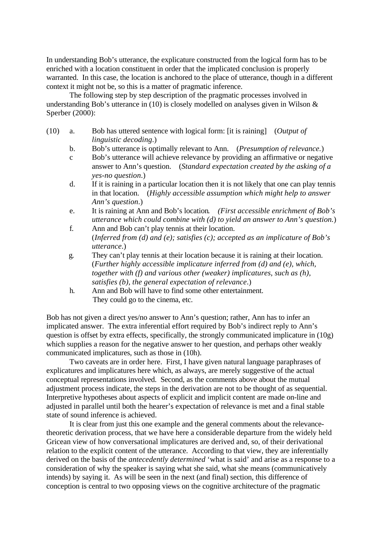In understanding Bob's utterance, the explicature constructed from the logical form has to be enriched with a location constituent in order that the implicated conclusion is properly warranted. In this case, the location is anchored to the place of utterance, though in a different context it might not be, so this is a matter of pragmatic inference.

The following step by step description of the pragmatic processes involved in understanding Bob's utterance in  $(10)$  is closely modelled on analyses given in Wilson  $\&$ Sperber (2000):

- (10) a. Bob has uttered sentence with logical form: [it is raining] (*Output of linguistic decoding*.)
	- b. Bob's utterance is optimally relevant to Ann. (*Presumption of relevance.*)
	- c Bob's utterance will achieve relevance by providing an affirmative or negative answer to Ann's question. (*Standard expectation created by the asking of a yes-no question*.)
	- d. If it is raining in a particular location then it is not likely that one can play tennis in that location. (*Highly accessible assumption which might help to answer Ann's question*.)
	- e. It is raining at Ann and Bob's location*. (First accessible enrichment of Bob's utterance which could combine with (d) to yield an answer to Ann's question.*)
	- f. Ann and Bob can't play tennis at their location. (*Inferred from (d) and (e); satisfies (c); accepted as an implicature of Bob's utterance*.)
	- g. They can't play tennis at their location because it is raining at their location. (*Further highly accessible implicature inferred from (d) and (e), which, together with (f) and various other (weaker) implicatures, such as (h), satisfies (b), the general expectation of relevance*.)
	- h. Ann and Bob will have to find some other entertainment. They could go to the cinema, etc.

Bob has not given a direct yes/no answer to Ann's question; rather, Ann has to infer an implicated answer. The extra inferential effort required by Bob's indirect reply to Ann's question is offset by extra effects, specifically, the strongly communicated implicature in (10g) which supplies a reason for the negative answer to her question, and perhaps other weakly communicated implicatures, such as those in (10h).

Two caveats are in order here. First, I have given natural language paraphrases of explicatures and implicatures here which, as always, are merely suggestive of the actual conceptual representations involved. Second, as the comments above about the mutual adjustment process indicate, the steps in the derivation are not to be thought of as sequential. Interpretive hypotheses about aspects of explicit and implicit content are made on-line and adjusted in parallel until both the hearer's expectation of relevance is met and a final stable state of sound inference is achieved.

It is clear from just this one example and the general comments about the relevancetheoretic derivation process, that we have here a considerable departure from the widely held Gricean view of how conversational implicatures are derived and, so, of their derivational relation to the explicit content of the utterance. According to that view, they are inferentially derived on the basis of the *antecedently determined* 'what is said' and arise as a response to a consideration of why the speaker is saying what she said, what she means (communicatively intends) by saying it. As will be seen in the next (and final) section, this difference of conception is central to two opposing views on the cognitive architecture of the pragmatic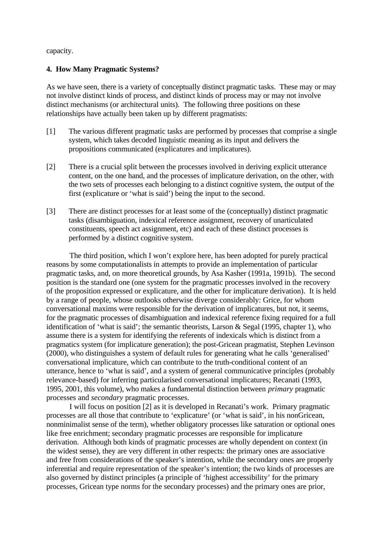capacity.

## **4. How Many Pragmatic Systems?**

As we have seen, there is a variety of conceptually distinct pragmatic tasks. These may or may not involve distinct kinds of process, and distinct kinds of process may or may not involve distinct mechanisms (or architectural units). The following three positions on these relationships have actually been taken up by different pragmatists:

- [1] The various different pragmatic tasks are performed by processes that comprise a single system, which takes decoded linguistic meaning as its input and delivers the propositions communicated (explicatures and implicatures).
- [2] There is a crucial split between the processes involved in deriving explicit utterance content, on the one hand, and the processes of implicature derivation, on the other, with the two sets of processes each belonging to a distinct cognitive system, the output of the first (explicature or 'what is said') being the input to the second.
- [3] There are distinct processes for at least some of the (conceptually) distinct pragmatic tasks (disambiguation, indexical reference assignment, recovery of unarticulated constituents, speech act assignment, etc) and each of these distinct processes is performed by a distinct cognitive system.

The third position, which I won't explore here, has been adopted for purely practical reasons by some computationalists in attempts to provide an implementation of particular pragmatic tasks, and, on more theoretical grounds, by Asa Kasher (1991a, 1991b). The second position is the standard one (one system for the pragmatic processes involved in the recovery of the proposition expressed or explicature, and the other for implicature derivation). It is held by a range of people, whose outlooks otherwise diverge considerably: Grice, for whom conversational maxims were responsible for the derivation of implicatures, but not, it seems, for the pragmatic processes of disambiguation and indexical reference fixing required for a full identification of 'what is said'; the semantic theorists, Larson & Segal (1995, chapter 1), who assume there is a system for identifying the referents of indexicals which is distinct from a pragmatics system (for implicature generation); the post-Gricean pragmatist, Stephen Levinson (2000), who distinguishes a system of default rules for generating what he calls 'generalised' conversational implicature, which can contribute to the truth-conditional content of an utterance, hence to 'what is said', and a system of general communicative principles (probably relevance-based) for inferring particularised conversational implicatures; Recanati (1993, 1995, 2001, this volume), who makes a fundamental distinction between *primary* pragmatic processes and *secondary* pragmatic processes.

I will focus on position [2] as it is developed in Recanati's work. Primary pragmatic processes are all those that contribute to 'explicature' (or 'what is said', in his nonGricean, nonminimalist sense of the term), whether obligatory processes like saturation or optional ones like free enrichment; secondary pragmatic processes are responsible for implicature derivation. Although both kinds of pragmatic processes are wholly dependent on context (in the widest sense), they are very different in other respects: the primary ones are associative and free from considerations of the speaker's intention, while the secondary ones are properly inferential and require representation of the speaker's intention; the two kinds of processes are also governed by distinct principles (a principle of 'highest accessibility' for the primary processes, Gricean type norms for the secondary processes) and the primary ones are prior,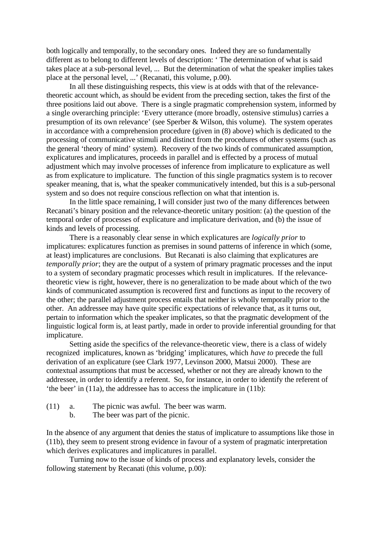both logically and temporally, to the secondary ones. Indeed they are so fundamentally different as to belong to different levels of description: ' The determination of what is said takes place at a sub-personal level, ... But the determination of what the speaker implies takes place at the personal level, ...' (Recanati, this volume, p.00).

In all these distinguishing respects, this view is at odds with that of the relevancetheoretic account which, as should be evident from the preceding section, takes the first of the three positions laid out above. There is a single pragmatic comprehension system, informed by a single overarching principle: 'Every utterance (more broadly, ostensive stimulus) carries a presumption of its own relevance' (see Sperber & Wilson, this volume). The system operates in accordance with a comprehension procedure (given in (8) above) which is dedicated to the processing of communicative stimuli and distinct from the procedures of other systems (such as the general 'theory of mind' system). Recovery of the two kinds of communicated assumption, explicatures and implicatures, proceeds in parallel and is effected by a process of mutual adjustment which may involve processes of inference from implicature to explicature as well as from explicature to implicature. The function of this single pragmatics system is to recover speaker meaning, that is, what the speaker communicatively intended, but this is a sub-personal system and so does not require conscious reflection on what that intention is.

In the little space remaining, I will consider just two of the many differences between Recanati's binary position and the relevance-theoretic unitary position: (a) the question of the temporal order of processes of explicature and implicature derivation, and (b) the issue of kinds and levels of processing.

There is a reasonably clear sense in which explicatures are *logically prior* to implicatures: explicatures function as premises in sound patterns of inference in which (some, at least) implicatures are conclusions. But Recanati is also claiming that explicatures are *temporally prior*; they are the output of a system of primary pragmatic processes and the input to a system of secondary pragmatic processes which result in implicatures. If the relevancetheoretic view is right, however, there is no generalization to be made about which of the two kinds of communicated assumption is recovered first and functions as input to the recovery of the other; the parallel adjustment process entails that neither is wholly temporally prior to the other. An addressee may have quite specific expectations of relevance that, as it turns out, pertain to information which the speaker implicates, so that the pragmatic development of the linguistic logical form is, at least partly, made in order to provide inferential grounding for that implicature.

Setting aside the specifics of the relevance-theoretic view, there is a class of widely recognized implicatures, known as 'bridging' implicatures, which *have to* precede the full derivation of an explicature (see Clark 1977, Levinson 2000, Matsui 2000). These are contextual assumptions that must be accessed, whether or not they are already known to the addressee, in order to identify a referent. So, for instance, in order to identify the referent of 'the beer' in (11a), the addressee has to access the implicature in (11b):

- (11) a. The picnic was awful. The beer was warm.
	- b. The beer was part of the picnic.

In the absence of any argument that denies the status of implicature to assumptions like those in (11b), they seem to present strong evidence in favour of a system of pragmatic interpretation which derives explicatures and implicatures in parallel.

Turning now to the issue of kinds of process and explanatory levels, consider the following statement by Recanati (this volume, p.00):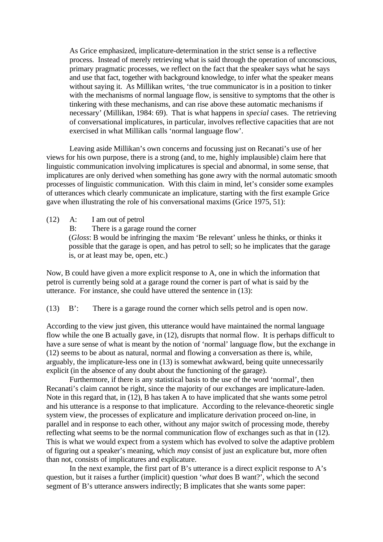As Grice emphasized, implicature-determination in the strict sense is a reflective process. Instead of merely retrieving what is said through the operation of unconscious, primary pragmatic processes, we reflect on the fact that the speaker says what he says and use that fact, together with background knowledge, to infer what the speaker means without saying it. As Millikan writes, 'the true communicator is in a position to tinker with the mechanisms of normal language flow, is sensitive to symptoms that the other is tinkering with these mechanisms, and can rise above these automatic mechanisms if necessary' (Millikan, 1984: 69). That is what happens in *special* cases. The retrieving of conversational implicatures, in particular, involves reflective capacities that are not exercised in what Millikan calls 'normal language flow'.

Leaving aside Millikan's own concerns and focussing just on Recanati's use of her views for his own purpose, there is a strong (and, to me, highly implausible) claim here that linguistic communication involving implicatures is special and abnormal, in some sense, that implicatures are only derived when something has gone awry with the normal automatic smooth processes of linguistic communication. With this claim in mind, let's consider some examples of utterances which clearly communicate an implicature, starting with the first example Grice gave when illustrating the role of his conversational maxims (Grice 1975, 51):

- (12) A: I am out of petrol
	- B: There is a garage round the corner

(*Gloss*: B would be infringing the maxim 'Be relevant' unless he thinks, or thinks it possible that the garage is open, and has petrol to sell; so he implicates that the garage is, or at least may be, open, etc.)

Now, B could have given a more explicit response to A, one in which the information that petrol is currently being sold at a garage round the corner is part of what is said by the utterance. For instance, she could have uttered the sentence in (13):

(13) B': There is a garage round the corner which sells petrol and is open now.

According to the view just given, this utterance would have maintained the normal language flow while the one B actually gave, in (12), disrupts that normal flow. It is perhaps difficult to have a sure sense of what is meant by the notion of 'normal' language flow, but the exchange in (12) seems to be about as natural, normal and flowing a conversation as there is, while, arguably, the implicature-less one in (13) is somewhat awkward, being quite unnecessarily explicit (in the absence of any doubt about the functioning of the garage).

Furthermore, if there is any statistical basis to the use of the word 'normal', then Recanati's claim cannot be right, since the majority of our exchanges are implicature-laden. Note in this regard that, in (12), B has taken A to have implicated that she wants some petrol and his utterance is a response to that implicature. According to the relevance-theoretic single system view, the processes of explicature and implicature derivation proceed on-line, in parallel and in response to each other, without any major switch of processing mode, thereby reflecting what seems to be the normal communication flow of exchanges such as that in (12). This is what we would expect from a system which has evolved to solve the adaptive problem of figuring out a speaker's meaning, which *may* consist of just an explicature but, more often than not, consists of implicatures and explicature.

In the next example, the first part of B's utterance is a direct explicit response to  $A$ 's question, but it raises a further (implicit) question '*what* does B want?', which the second segment of B's utterance answers indirectly; B implicates that she wants some paper: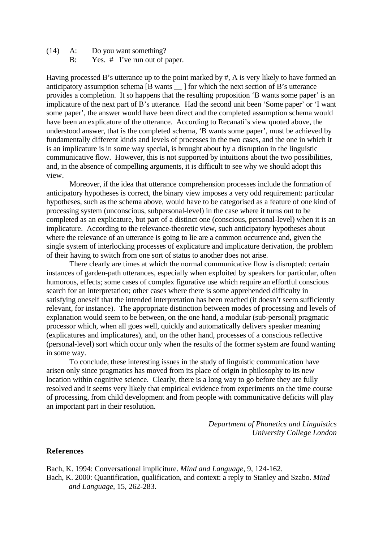- (14) A: Do you want something?
	- B: Yes. # I've run out of paper.

Having processed B's utterance up to the point marked by #, A is very likely to have formed an anticipatory assumption schema [B wants \_\_ ] for which the next section of B's utterance provides a completion. It so happens that the resulting proposition 'B wants some paper' is an implicature of the next part of B's utterance. Had the second unit been 'Some paper' or 'I want some paper', the answer would have been direct and the completed assumption schema would have been an explicature of the utterance. According to Recanati's view quoted above, the understood answer, that is the completed schema, 'B wants some paper', must be achieved by fundamentally different kinds and levels of processes in the two cases, and the one in which it is an implicature is in some way special, is brought about by a disruption in the linguistic communicative flow. However, this is not supported by intuitions about the two possibilities, and, in the absence of compelling arguments, it is difficult to see why we should adopt this view.

Moreover, if the idea that utterance comprehension processes include the formation of anticipatory hypotheses is correct, the binary view imposes a very odd requirement: particular hypotheses, such as the schema above, would have to be categorised as a feature of one kind of processing system (unconscious, subpersonal-level) in the case where it turns out to be completed as an explicature, but part of a distinct one (conscious, personal-level) when it is an implicature. According to the relevance-theoretic view, such anticipatory hypotheses about where the relevance of an utterance is going to lie are a common occurrence and, given the single system of interlocking processes of explicature and implicature derivation, the problem of their having to switch from one sort of status to another does not arise.

There clearly are times at which the normal communicative flow is disrupted: certain instances of garden-path utterances, especially when exploited by speakers for particular, often humorous, effects; some cases of complex figurative use which require an effortful conscious search for an interpretation; other cases where there is some apprehended difficulty in satisfying oneself that the intended interpretation has been reached (it doesn't seem sufficiently relevant, for instance). The appropriate distinction between modes of processing and levels of explanation would seem to be between, on the one hand, a modular (sub-personal) pragmatic processor which, when all goes well, quickly and automatically delivers speaker meaning (explicatures and implicatures), and, on the other hand, processes of a conscious reflective (personal-level) sort which occur only when the results of the former system are found wanting in some way.

To conclude, these interesting issues in the study of linguistic communication have arisen only since pragmatics has moved from its place of origin in philosophy to its new location within cognitive science. Clearly, there is a long way to go before they are fully resolved and it seems very likely that empirical evidence from experiments on the time course of processing, from child development and from people with communicative deficits will play an important part in their resolution.

> *Department of Phonetics and Linguistics University College London*

### **References**

Bach, K. 1994: Conversational impliciture. *Mind and Language,* 9, 124-162. Bach, K. 2000: Quantification, qualification, and context: a reply to Stanley and Szabo. *Mind and Language,* 15, 262-283.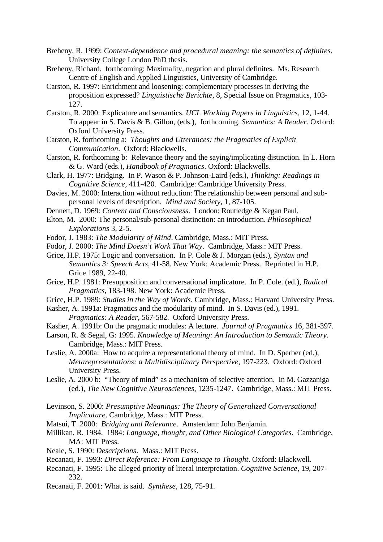- Breheny, R. 1999: *Context-dependence and procedural meaning: the semantics of definites*. University College London PhD thesis.
- Breheny, Richard. forthcoming: Maximality, negation and plural definites. Ms. Research Centre of English and Applied Linguistics, University of Cambridge.
- Carston, R. 1997: Enrichment and loosening: complementary processes in deriving the proposition expressed? *Linguistische Berichte*, 8, Special Issue on Pragmatics, 103- 127.
- Carston, R. 2000: Explicature and semantics. *UCL Working Papers in Linguistics*, 12, 1-44. To appear in S. Davis & B. Gillon, (eds.), forthcoming. *Semantics: A Reader*. Oxford: Oxford University Press.
- Carston, R. forthcoming a: *Thoughts and Utterances: the Pragmatics of Explicit Communication*. Oxford: Blackwells.
- Carston, R. forthcoming b: Relevance theory and the saying/implicating distinction. In L. Horn & G. Ward (eds.), *Handbook of Pragmatics*. Oxford: Blackwells.
- Clark, H. 1977: Bridging. In P. Wason & P. Johnson-Laird (eds.), *Thinking: Readings in Cognitive Science*, 411-420. Cambridge: Cambridge University Press.
- Davies, M. 2000: Interaction without reduction: The relationship between personal and subpersonal levels of description. *Mind and Society*, 1, 87-105.
- Dennett, D. 1969: *Content and Consciousness*. London: Routledge & Kegan Paul.
- Elton, M. 2000: The personal/sub-personal distinction: an introduction. *Philosophical Explorations* 3, 2-5.
- Fodor, J. 1983: *The Modularity of Mind*. Cambridge, Mass.: MIT Press.
- Fodor, J. 2000: *The Mind Doesn't Work That Way*. Cambridge, Mass.: MIT Press.
- Grice, H.P. 1975: Logic and conversation. In P. Cole & J. Morgan (eds.), *Syntax and Semantics 3: Speech Acts*, 41-58. New York: Academic Press. Reprinted in H.P. Grice 1989, 22-40.
- Grice, H.P. 1981: Presupposition and conversational implicature. In P. Cole. (ed.), *Radical Pragmatics*, 183-198. New York: Academic Press.
- Grice, H.P. 1989: *Studies in the Way of Words*. Cambridge, Mass.: Harvard University Press.
- Kasher, A. 1991a: Pragmatics and the modularity of mind. In S. Davis (ed.), 1991.
	- *Pragmatics: A Reader*, 567-582. Oxford University Press.
- Kasher, A. 1991b: On the pragmatic modules: A lecture. *Journal of Pragmatics* 16, 381-397.
- Larson, R. & Segal, G: 1995. *Knowledge of Meaning: An Introduction to Semantic Theory*. Cambridge, Mass.: MIT Press.
- Leslie, A. 2000a: How to acquire a representational theory of mind. In D. Sperber (ed.), *Metarepresentations: a Multidisciplinary Perspective*, 197-223. Oxford: Oxford University Press.
- Leslie, A. 2000 b: "Theory of mind" as a mechanism of selective attention. In M. Gazzaniga (ed.), *The New Cognitive Neurosciences*, 1235-1247. Cambridge, Mass.: MIT Press.
- Levinson, S. 2000: *Presumptive Meanings: The Theory of Generalized Conversational Implicature*. Cambridge, Mass.: MIT Press.
- Matsui, T. 2000: *Bridging and Relevance*. Amsterdam: John Benjamin.
- Millikan, R. 1984. 1984: *Language, thought, and Other Biological Categories*. Cambridge, MA: MIT Press.
- Neale, S. 1990: *Descriptions*. Mass.: MIT Press.
- Recanati, F. 1993: *Direct Reference: From Language to Thought*. Oxford: Blackwell.
- Recanati, F. 1995: The alleged priority of literal interpretation. *Cognitive Science*, 19, 207- 232.
- Recanati, F. 2001: What is said. *Synthese*, 128, 75-91.